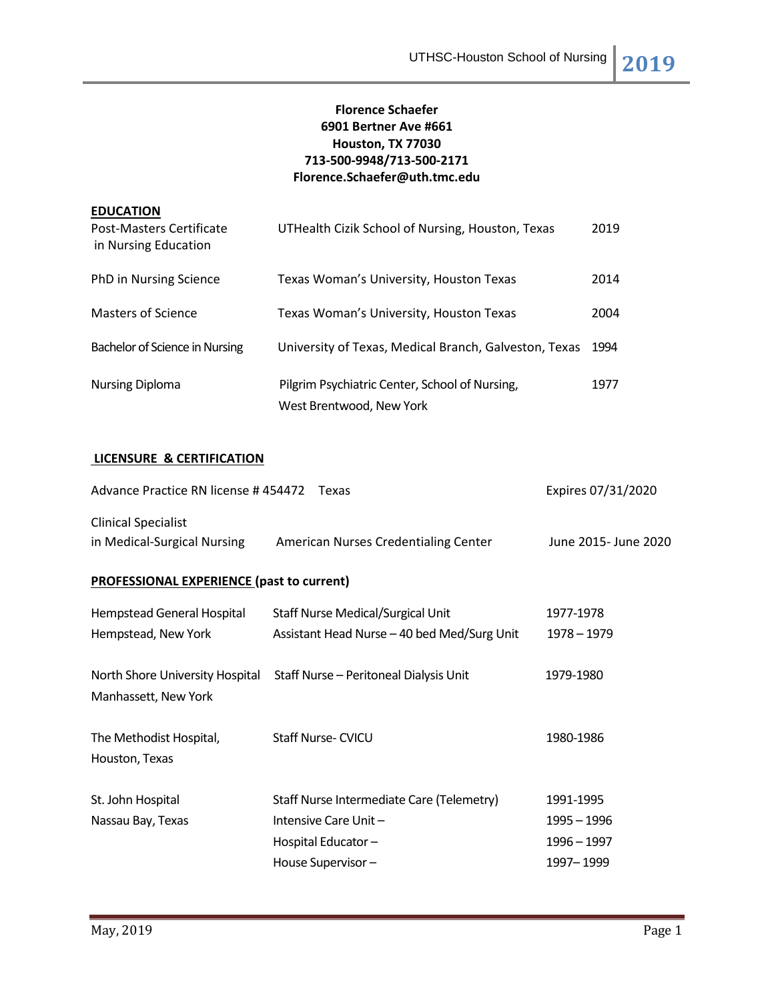# **Florence Schaefer 6901 Bertner Ave #661 Houston, TX 77030 713-500-9948/713-500-2171 Florence.Schaefer@uth.tmc.edu**

| <b>EDUCATION</b><br>Post-Masters Certificate<br>in Nursing Education | UTHealth Cizik School of Nursing, Houston, Texas                           | 2019 |
|----------------------------------------------------------------------|----------------------------------------------------------------------------|------|
| PhD in Nursing Science                                               | Texas Woman's University, Houston Texas                                    | 2014 |
| <b>Masters of Science</b>                                            | Texas Woman's University, Houston Texas                                    | 2004 |
| Bachelor of Science in Nursing                                       | University of Texas, Medical Branch, Galveston, Texas                      | 1994 |
| <b>Nursing Diploma</b>                                               | Pilgrim Psychiatric Center, School of Nursing,<br>West Brentwood, New York | 1977 |

# **LICENSURE & CERTIFICATION**

| Advance Practice RN license #454472 Texas                 | Expires 07/31/2020                          |                      |  |  |  |  |  |
|-----------------------------------------------------------|---------------------------------------------|----------------------|--|--|--|--|--|
| <b>Clinical Specialist</b><br>in Medical-Surgical Nursing | American Nurses Credentialing Center        | June 2015- June 2020 |  |  |  |  |  |
| <b>PROFESSIONAL EXPERIENCE (past to current)</b>          |                                             |                      |  |  |  |  |  |
| Hempstead General Hospital                                | <b>Staff Nurse Medical/Surgical Unit</b>    | 1977-1978            |  |  |  |  |  |
| Hempstead, New York                                       | Assistant Head Nurse - 40 bed Med/Surg Unit | 1978 - 1979          |  |  |  |  |  |
| North Shore University Hospital<br>Manhassett, New York   | Staff Nurse - Peritoneal Dialysis Unit      | 1979-1980            |  |  |  |  |  |
| The Methodist Hospital,<br>Houston, Texas                 | <b>Staff Nurse-CVICU</b>                    | 1980-1986            |  |  |  |  |  |
| St. John Hospital                                         | Staff Nurse Intermediate Care (Telemetry)   | 1991-1995            |  |  |  |  |  |
| Nassau Bay, Texas                                         | Intensive Care Unit-                        | 1995 - 1996          |  |  |  |  |  |
|                                                           | Hospital Educator-                          | 1996 - 1997          |  |  |  |  |  |
|                                                           | House Supervisor-                           | 1997 - 1999          |  |  |  |  |  |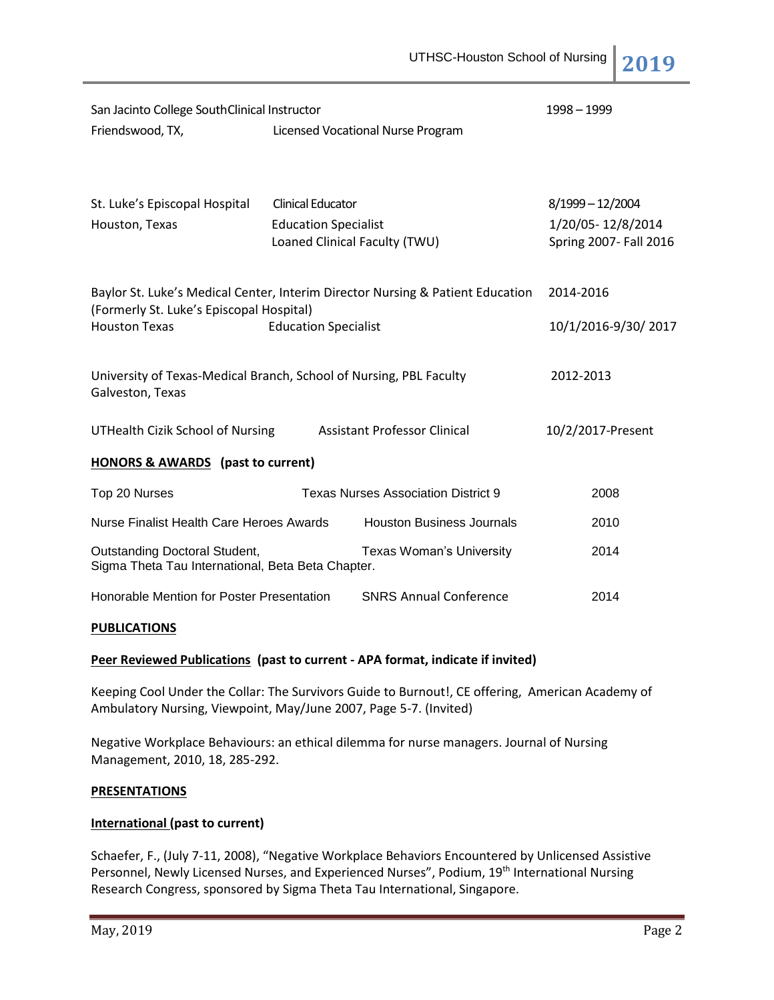| San Jacinto College SouthClinical Instructor                                                                               |                               |                                            | 1998 - 1999            |  |
|----------------------------------------------------------------------------------------------------------------------------|-------------------------------|--------------------------------------------|------------------------|--|
| Friendswood, TX,                                                                                                           |                               | Licensed Vocational Nurse Program          |                        |  |
|                                                                                                                            |                               |                                            |                        |  |
| St. Luke's Episcopal Hospital                                                                                              | <b>Clinical Educator</b>      |                                            | 8/1999-12/2004         |  |
| Houston, Texas                                                                                                             | <b>Education Specialist</b>   |                                            | 1/20/05-12/8/2014      |  |
|                                                                                                                            | Loaned Clinical Faculty (TWU) |                                            | Spring 2007- Fall 2016 |  |
|                                                                                                                            |                               |                                            |                        |  |
| Baylor St. Luke's Medical Center, Interim Director Nursing & Patient Education<br>(Formerly St. Luke's Episcopal Hospital) |                               |                                            | 2014-2016              |  |
| <b>Houston Texas</b>                                                                                                       | <b>Education Specialist</b>   |                                            | 10/1/2016-9/30/2017    |  |
|                                                                                                                            |                               |                                            |                        |  |
| University of Texas-Medical Branch, School of Nursing, PBL Faculty<br>Galveston, Texas                                     |                               |                                            | 2012-2013              |  |
| UTHealth Cizik School of Nursing                                                                                           |                               | <b>Assistant Professor Clinical</b>        | 10/2/2017-Present      |  |
|                                                                                                                            |                               |                                            |                        |  |
| <b>HONORS &amp; AWARDS</b> (past to current)                                                                               |                               |                                            |                        |  |
| Top 20 Nurses                                                                                                              |                               | <b>Texas Nurses Association District 9</b> | 2008                   |  |
| Nurse Finalist Health Care Heroes Awards                                                                                   |                               | <b>Houston Business Journals</b>           | 2010                   |  |
| Outstanding Doctoral Student,<br>Sigma Theta Tau International, Beta Beta Chapter.                                         |                               | <b>Texas Woman's University</b>            | 2014                   |  |
| Honorable Mention for Poster Presentation                                                                                  |                               | <b>SNRS Annual Conference</b>              | 2014                   |  |

## **PUBLICATIONS**

## **Peer Reviewed Publications (past to current - APA format, indicate if invited)**

Keeping Cool Under the Collar: The Survivors Guide to Burnout!, CE offering, American Academy of Ambulatory Nursing, Viewpoint, May/June 2007, Page 5-7. (Invited)

Negative Workplace Behaviours: an ethical dilemma for nurse managers. Journal of Nursing Management, 2010, 18, 285-292.

#### **PRESENTATIONS**

## **International (past to current)**

Schaefer, F., (July 7-11, 2008), "Negative Workplace Behaviors Encountered by Unlicensed Assistive Personnel, Newly Licensed Nurses, and Experienced Nurses", Podium, 19<sup>th</sup> International Nursing Research Congress, sponsored by Sigma Theta Tau International, Singapore.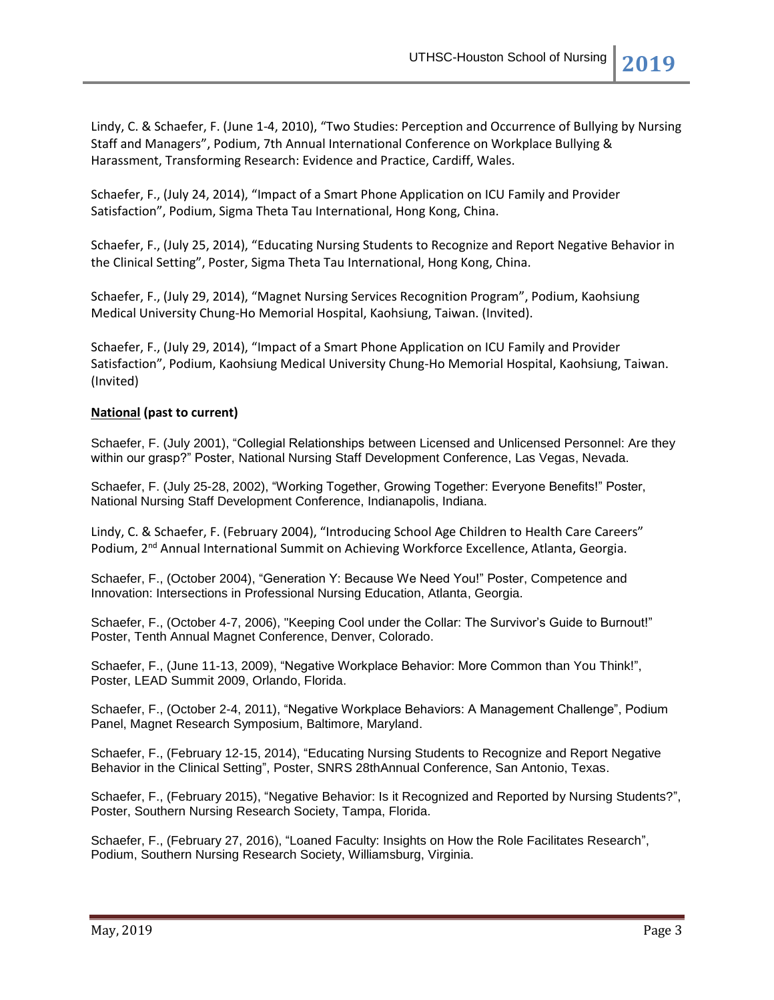Lindy, C. & Schaefer, F. (June 1-4, 2010), "Two Studies: Perception and Occurrence of Bullying by Nursing Staff and Managers", Podium, 7th Annual International Conference on Workplace Bullying & Harassment, Transforming Research: Evidence and Practice, Cardiff, Wales.

Schaefer, F., (July 24, 2014), "Impact of a Smart Phone Application on ICU Family and Provider Satisfaction", Podium, Sigma Theta Tau International, Hong Kong, China.

Schaefer, F., (July 25, 2014), "Educating Nursing Students to Recognize and Report Negative Behavior in the Clinical Setting", Poster, Sigma Theta Tau International, Hong Kong, China.

Schaefer, F., (July 29, 2014), "Magnet Nursing Services Recognition Program", Podium, Kaohsiung Medical University Chung-Ho Memorial Hospital, Kaohsiung, Taiwan. (Invited).

Schaefer, F., (July 29, 2014), "Impact of a Smart Phone Application on ICU Family and Provider Satisfaction", Podium, Kaohsiung Medical University Chung-Ho Memorial Hospital, Kaohsiung, Taiwan. (Invited)

## **National (past to current)**

Schaefer, F. (July 2001), "Collegial Relationships between Licensed and Unlicensed Personnel: Are they within our grasp?" Poster, National Nursing Staff Development Conference, Las Vegas, Nevada.

Schaefer, F. (July 25-28, 2002), "Working Together, Growing Together: Everyone Benefits!" Poster, National Nursing Staff Development Conference, Indianapolis, Indiana.

Lindy, C. & Schaefer, F. (February 2004), "Introducing School Age Children to Health Care Careers" Podium, 2<sup>nd</sup> Annual International Summit on Achieving Workforce Excellence, Atlanta, Georgia.

Schaefer, F., (October 2004), "Generation Y: Because We Need You!" Poster, Competence and Innovation: Intersections in Professional Nursing Education, Atlanta, Georgia.

Schaefer, F., (October 4-7, 2006), "Keeping Cool under the Collar: The Survivor's Guide to Burnout!" Poster, Tenth Annual Magnet Conference, Denver, Colorado.

Schaefer, F., (June 11-13, 2009), "Negative Workplace Behavior: More Common than You Think!", Poster, LEAD Summit 2009, Orlando, Florida.

Schaefer, F., (October 2-4, 2011), "Negative Workplace Behaviors: A Management Challenge", Podium Panel, Magnet Research Symposium, Baltimore, Maryland.

Schaefer, F., (February 12-15, 2014), "Educating Nursing Students to Recognize and Report Negative Behavior in the Clinical Setting", Poster, SNRS 28thAnnual Conference, San Antonio, Texas.

Schaefer, F., (February 2015), "Negative Behavior: Is it Recognized and Reported by Nursing Students?", Poster, Southern Nursing Research Society, Tampa, Florida.

Schaefer, F., (February 27, 2016), "Loaned Faculty: Insights on How the Role Facilitates Research", Podium, Southern Nursing Research Society, Williamsburg, Virginia.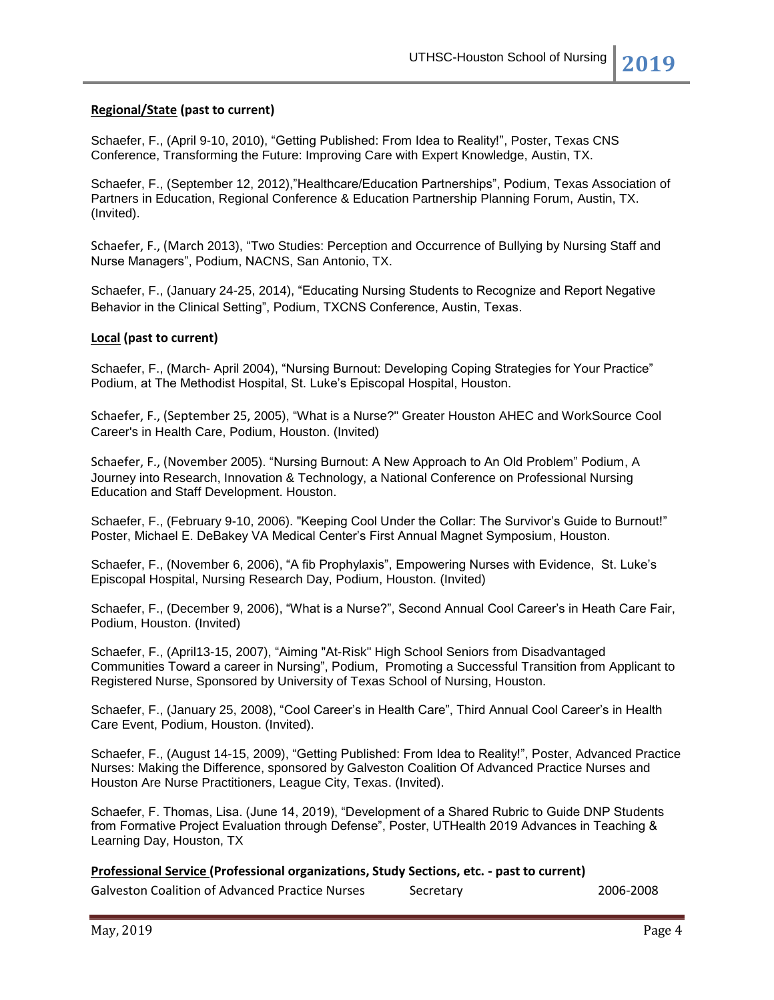## **Regional/State (past to current)**

Schaefer, F., (April 9-10, 2010), "Getting Published: From Idea to Reality!", Poster, Texas CNS Conference, Transforming the Future: Improving Care with Expert Knowledge, Austin, TX.

Schaefer, F., (September 12, 2012),"Healthcare/Education Partnerships", Podium, Texas Association of Partners in Education, Regional Conference & Education Partnership Planning Forum, Austin, TX. (Invited).

Schaefer, F., (March 2013), "Two Studies: Perception and Occurrence of Bullying by Nursing Staff and Nurse Managers", Podium, NACNS, San Antonio, TX.

Schaefer, F., (January 24-25, 2014), "Educating Nursing Students to Recognize and Report Negative Behavior in the Clinical Setting", Podium, TXCNS Conference, Austin, Texas.

## **Local (past to current)**

Schaefer, F., (March- April 2004), "Nursing Burnout: Developing Coping Strategies for Your Practice" Podium, at The Methodist Hospital, St. Luke's Episcopal Hospital, Houston.

Schaefer, F., (September 25, 2005), "What is a Nurse?" Greater Houston AHEC and WorkSource Cool Career's in Health Care, Podium, Houston. (Invited)

Schaefer, F., (November 2005). "Nursing Burnout: A New Approach to An Old Problem" Podium, A Journey into Research, Innovation & Technology, a National Conference on Professional Nursing Education and Staff Development. Houston.

Schaefer, F., (February 9-10, 2006). "Keeping Cool Under the Collar: The Survivor's Guide to Burnout!" Poster, Michael E. DeBakey VA Medical Center's First Annual Magnet Symposium, Houston.

Schaefer, F., (November 6, 2006), "A fib Prophylaxis", Empowering Nurses with Evidence, St. Luke's Episcopal Hospital, Nursing Research Day, Podium, Houston. (Invited)

Schaefer, F., (December 9, 2006), "What is a Nurse?", Second Annual Cool Career's in Heath Care Fair, Podium, Houston. (Invited)

Schaefer, F., (April13-15, 2007), "Aiming "At-Risk" High School Seniors from Disadvantaged Communities Toward a career in Nursing", Podium, Promoting a Successful Transition from Applicant to Registered Nurse, Sponsored by University of Texas School of Nursing, Houston.

Schaefer, F., (January 25, 2008), "Cool Career's in Health Care", Third Annual Cool Career's in Health Care Event, Podium, Houston. (Invited).

Schaefer, F., (August 14-15, 2009), "Getting Published: From Idea to Reality!", Poster, Advanced Practice Nurses: Making the Difference, sponsored by Galveston Coalition Of Advanced Practice Nurses and Houston Are Nurse Practitioners, League City, Texas. (Invited).

Schaefer, F. Thomas, Lisa. (June 14, 2019), "Development of a Shared Rubric to Guide DNP Students from Formative Project Evaluation through Defense", Poster, UTHealth 2019 Advances in Teaching & Learning Day, Houston, TX

**Professional Service (Professional organizations, Study Sections, etc. - past to current)**

Galveston Coalition of Advanced Practice Nurses Secretary 2006-2008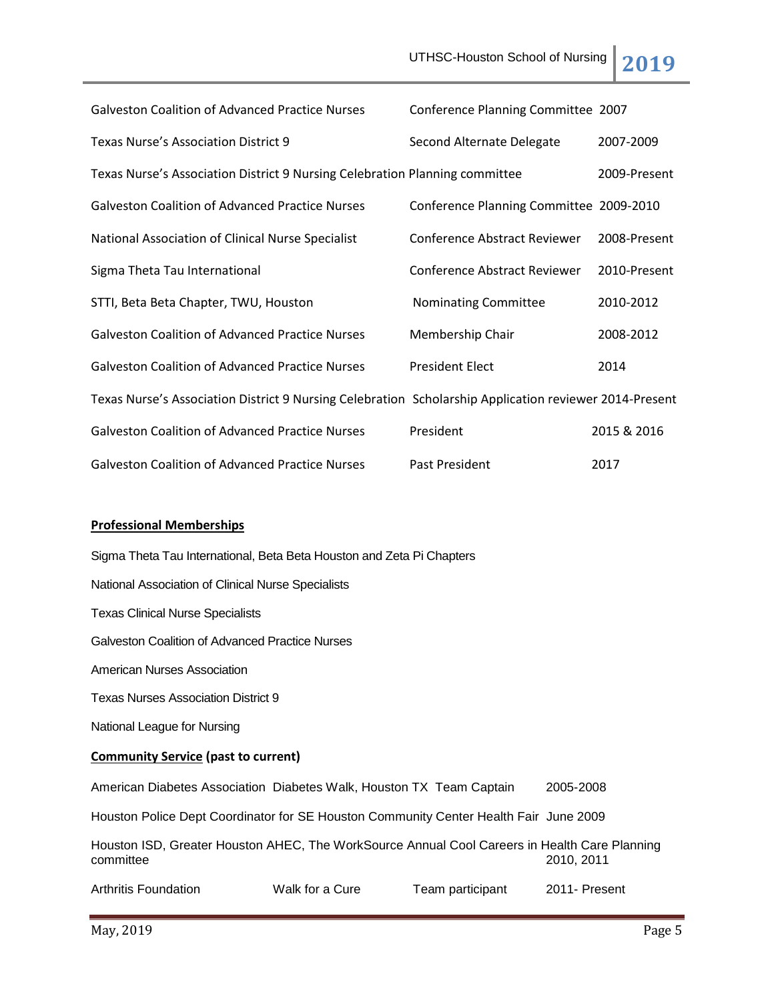| <b>Galveston Coalition of Advanced Practice Nurses</b>                                                 | Conference Planning Committee 2007      |              |
|--------------------------------------------------------------------------------------------------------|-----------------------------------------|--------------|
| Texas Nurse's Association District 9                                                                   | Second Alternate Delegate               | 2007-2009    |
| Texas Nurse's Association District 9 Nursing Celebration Planning committee                            |                                         | 2009-Present |
| <b>Galveston Coalition of Advanced Practice Nurses</b>                                                 | Conference Planning Committee 2009-2010 |              |
| National Association of Clinical Nurse Specialist                                                      | <b>Conference Abstract Reviewer</b>     | 2008-Present |
| Sigma Theta Tau International                                                                          | <b>Conference Abstract Reviewer</b>     | 2010-Present |
| STTI, Beta Beta Chapter, TWU, Houston                                                                  | Nominating Committee                    | 2010-2012    |
| <b>Galveston Coalition of Advanced Practice Nurses</b>                                                 | Membership Chair                        | 2008-2012    |
| <b>Galveston Coalition of Advanced Practice Nurses</b>                                                 | <b>President Elect</b>                  | 2014         |
| Texas Nurse's Association District 9 Nursing Celebration Scholarship Application reviewer 2014-Present |                                         |              |
| <b>Galveston Coalition of Advanced Practice Nurses</b>                                                 | President                               | 2015 & 2016  |
| <b>Galveston Coalition of Advanced Practice Nurses</b>                                                 | Past President                          | 2017         |

## **Professional Memberships**

Sigma Theta Tau International, Beta Beta Houston and Zeta Pi Chapters National Association of Clinical Nurse Specialists Texas Clinical Nurse Specialists Galveston Coalition of Advanced Practice Nurses American Nurses Association Texas Nurses Association District 9 National League for Nursing **Community Service (past to current)** American Diabetes Association Diabetes Walk, Houston TX Team Captain 2005-2008 Houston Police Dept Coordinator for SE Houston Community Center Health Fair June 2009 Houston ISD, Greater Houston AHEC, The WorkSource Annual Cool Careers in Health Care Planning committee 2010, 2011 Arthritis Foundation **Walk for a Cure** Team participant 2011- Present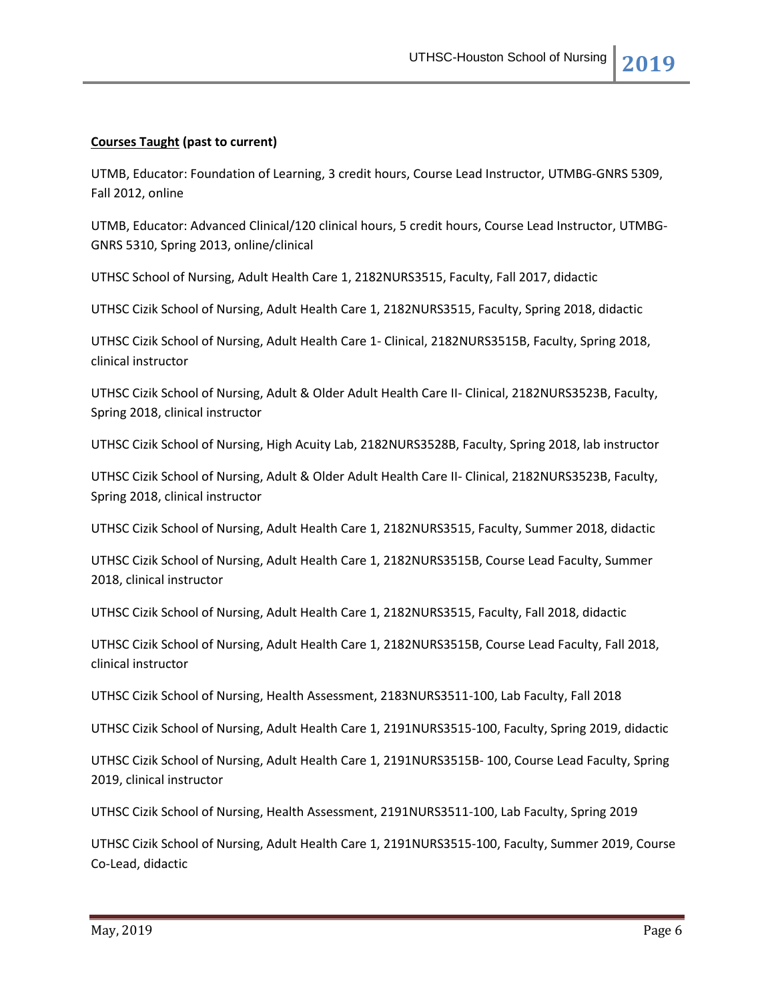## **Courses Taught (past to current)**

UTMB, Educator: Foundation of Learning, 3 credit hours, Course Lead Instructor, UTMBG-GNRS 5309, Fall 2012, online

UTMB, Educator: Advanced Clinical/120 clinical hours, 5 credit hours, Course Lead Instructor, UTMBG-GNRS 5310, Spring 2013, online/clinical

UTHSC School of Nursing, Adult Health Care 1, 2182NURS3515, Faculty, Fall 2017, didactic

UTHSC Cizik School of Nursing, Adult Health Care 1, 2182NURS3515, Faculty, Spring 2018, didactic

UTHSC Cizik School of Nursing, Adult Health Care 1- Clinical, 2182NURS3515B, Faculty, Spring 2018, clinical instructor

UTHSC Cizik School of Nursing, Adult & Older Adult Health Care II- Clinical, 2182NURS3523B, Faculty, Spring 2018, clinical instructor

UTHSC Cizik School of Nursing, High Acuity Lab, 2182NURS3528B, Faculty, Spring 2018, lab instructor

UTHSC Cizik School of Nursing, Adult & Older Adult Health Care II- Clinical, 2182NURS3523B, Faculty, Spring 2018, clinical instructor

UTHSC Cizik School of Nursing, Adult Health Care 1, 2182NURS3515, Faculty, Summer 2018, didactic

UTHSC Cizik School of Nursing, Adult Health Care 1, 2182NURS3515B, Course Lead Faculty, Summer 2018, clinical instructor

UTHSC Cizik School of Nursing, Adult Health Care 1, 2182NURS3515, Faculty, Fall 2018, didactic

UTHSC Cizik School of Nursing, Adult Health Care 1, 2182NURS3515B, Course Lead Faculty, Fall 2018, clinical instructor

UTHSC Cizik School of Nursing, Health Assessment, 2183NURS3511-100, Lab Faculty, Fall 2018

UTHSC Cizik School of Nursing, Adult Health Care 1, 2191NURS3515-100, Faculty, Spring 2019, didactic

UTHSC Cizik School of Nursing, Adult Health Care 1, 2191NURS3515B- 100, Course Lead Faculty, Spring 2019, clinical instructor

UTHSC Cizik School of Nursing, Health Assessment, 2191NURS3511-100, Lab Faculty, Spring 2019

UTHSC Cizik School of Nursing, Adult Health Care 1, 2191NURS3515-100, Faculty, Summer 2019, Course Co-Lead, didactic